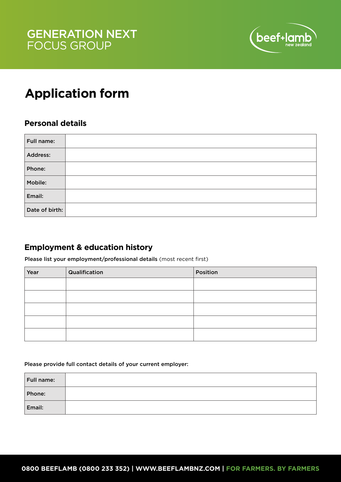

## **Application form**

## **Personal details**

| Full name:     |  |
|----------------|--|
| Address:       |  |
| Phone:         |  |
| Mobile:        |  |
| Email:         |  |
| Date of birth: |  |

## **Employment & education history**

Please list your employment/professional details (most recent first)

| Year | Qualification | Position |
|------|---------------|----------|
|      |               |          |
|      |               |          |
|      |               |          |
|      |               |          |
|      |               |          |

Please provide full contact details of your current employer:

| Full name: |  |
|------------|--|
| Phone:     |  |
| Email:     |  |